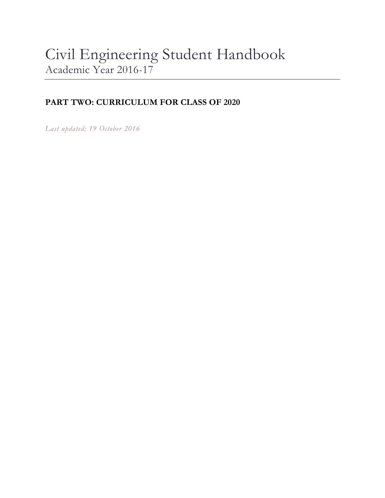# Civil Engineering Student Handbook Academic Year 2016-17

### **PART TWO: CURRICULUM FOR CLASS OF 2020**

*Last updated: 19 October 2016*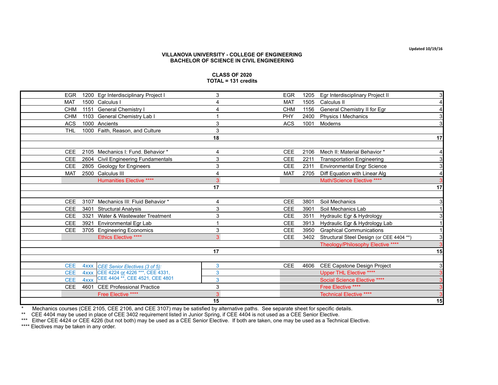**VILLANOVA UNIVERSITY - COLLEGE OF ENGINEERING**

| <b>EGR</b> |             | 1200 Egr Interdisciplinary Project I | 3              | <b>EGR</b> | 1205 | Egr Interdisciplinary Project II         |    |
|------------|-------------|--------------------------------------|----------------|------------|------|------------------------------------------|----|
| <b>MAT</b> |             | 1500 Calculus I                      | 4              | <b>MAT</b> | 1505 | Calculus II                              | 4  |
| <b>CHM</b> |             | 1151 General Chemistry I             | 4              | <b>CHM</b> | 1156 | General Chemistry II for Egr             | 4  |
| <b>CHM</b> |             | 1103 General Chemistry Lab I         |                | PHY        | 2400 | <b>Physics I Mechanics</b>               | 3  |
| <b>ACS</b> |             | 1000 Ancients                        | 3              | <b>ACS</b> | 1001 | Moderns                                  | 3  |
| <b>THL</b> |             | 1000 Faith, Reason, and Culture      | 3              |            |      |                                          |    |
|            |             |                                      | 18             |            |      |                                          | 17 |
|            |             |                                      |                |            |      |                                          |    |
| <b>CEE</b> |             | 2105 Mechanics I: Fund. Behavior *   | 4              | <b>CEE</b> | 2106 | Mech II: Material Behavior *             | 4  |
| CEE        |             | 2604 Civil Engineering Fundamentals  | 3              | <b>CEE</b> | 2211 | <b>Transportation Engineering</b>        | 3  |
| <b>CEE</b> |             | 2805 Geology for Engineers           | 3              | <b>CEE</b> | 2311 | <b>Environmental Engr Science</b>        | 3  |
| <b>MAT</b> |             | 2500 Calculus III                    | $\overline{4}$ | <b>MAT</b> | 2705 | Diff Equation with Linear Alg            | 4  |
|            |             | <b>Humanities Elective ****</b>      | 3              |            |      | Math/Science Elective ****               | 3  |
|            |             |                                      | 17             |            |      |                                          | 17 |
|            |             |                                      |                |            |      |                                          |    |
| <b>CEE</b> |             | 3107 Mechanics III: Fluid Behavior * | 4              | <b>CEE</b> | 3801 | Soil Mechanics                           | 3  |
| CEE        |             | 3401 Structural Analysis             | 3              | <b>CEE</b> | 3901 | Soil Mechanics Lab                       |    |
| <b>CEE</b> | 3321        | Water & Wastewater Treatment         | 3              | <b>CEE</b> | 3511 | Hydraulic Egr & Hydrology                | 3  |
| <b>CEE</b> | 3921        | <b>Environmental Egr Lab</b>         |                | <b>CEE</b> | 3913 | Hydraulic Eqr & Hydrology Lab            |    |
| <b>CEE</b> |             | 3705 Engineering Economics           | 3              | <b>CEE</b> | 3950 | <b>Graphical Communications</b>          |    |
|            |             | Ethics Elective ****                 | 3              | <b>CEE</b> | 3402 | Structural Steel Design (or CEE 4404 **) | 3  |
|            |             |                                      |                |            |      | Theology/Philosophy Elective ****        | 3  |
|            |             |                                      | 17             |            |      |                                          | 15 |
|            |             |                                      |                |            |      |                                          |    |
| <b>CEE</b> |             | 4xxx CEE Senior Electives (3 of 5):  | 3              | <b>CEE</b> | 4606 | CEE Capstone Design Project              | 3  |
| <b>CEE</b> |             | 4xxx CEE 4224 or 4226 ***, CEE 4331, | 3              |            |      | <b>Upper THL Elective ****</b>           | 3  |
| <b>CEE</b> | <b>4xxx</b> | CEE 4404 **, CEE 4521, CEE 4801      | 3              |            |      | Social Science Elective ****             | 3  |
| <b>CEE</b> |             | 4601 CEE Professional Practice       | 3              |            |      | Free Elective ****                       | 3  |
|            |             |                                      |                |            |      |                                          |    |

Free Elective \*\*\*\* **3** 3<br> **15** 15

**15 15**

## **BACHELOR OF SCIENCE IN CIVIL ENGINEERING**

**CLASS OF 2020 TOTAL = 131 credits**

\* Mechanics courses (CEE 2105, CEE 2106, and CEE 3107) may be satisfied by alternative paths. See separate sheet for specific details.

\*\* CEE 4404 may be used in place of CEE 3402 requirement listed in Junior Spring, if CEE 4404 is not used as a CEE Senior Elective.

\*\*\* Either CEE 4424 or CEE 4226 (but not both) may be used as a CEE Senior Elective. If both are taken, one may be used as a Technical Elective.

\*\*\*\* Electives may be taken in any order.

**Updated 10/19/16**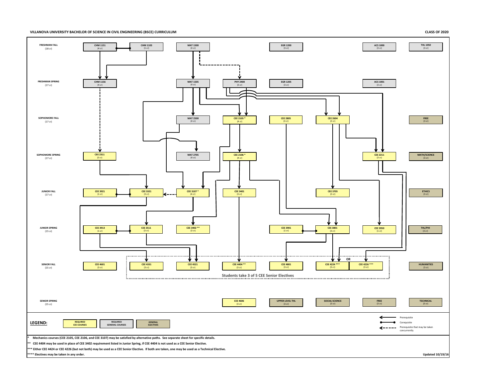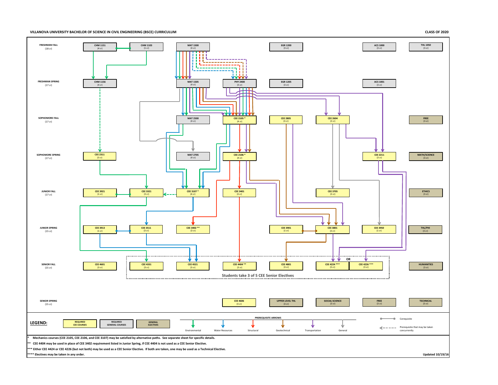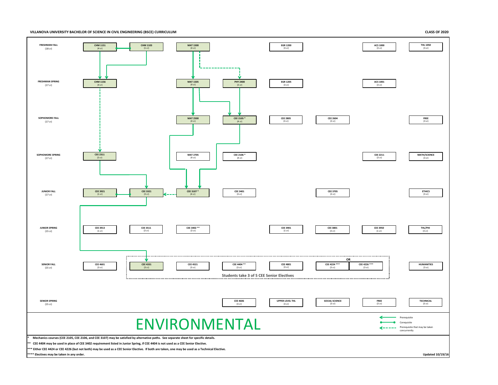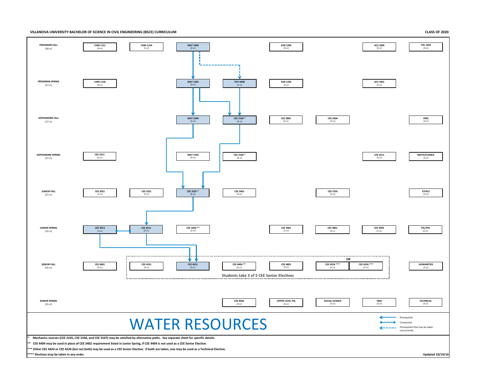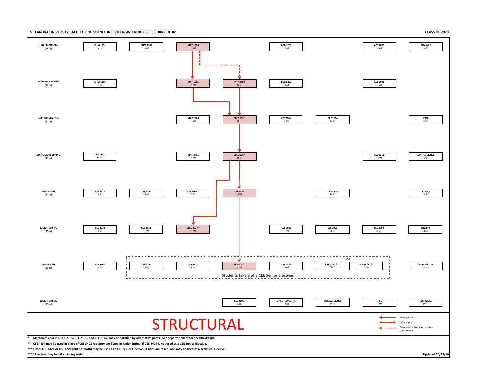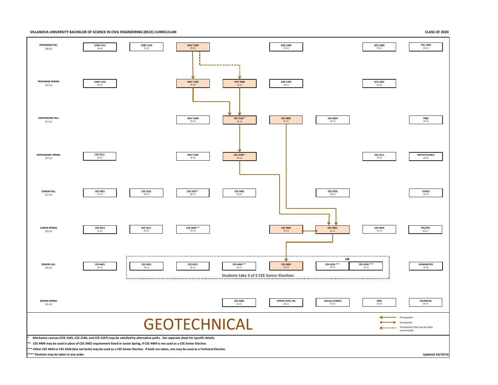